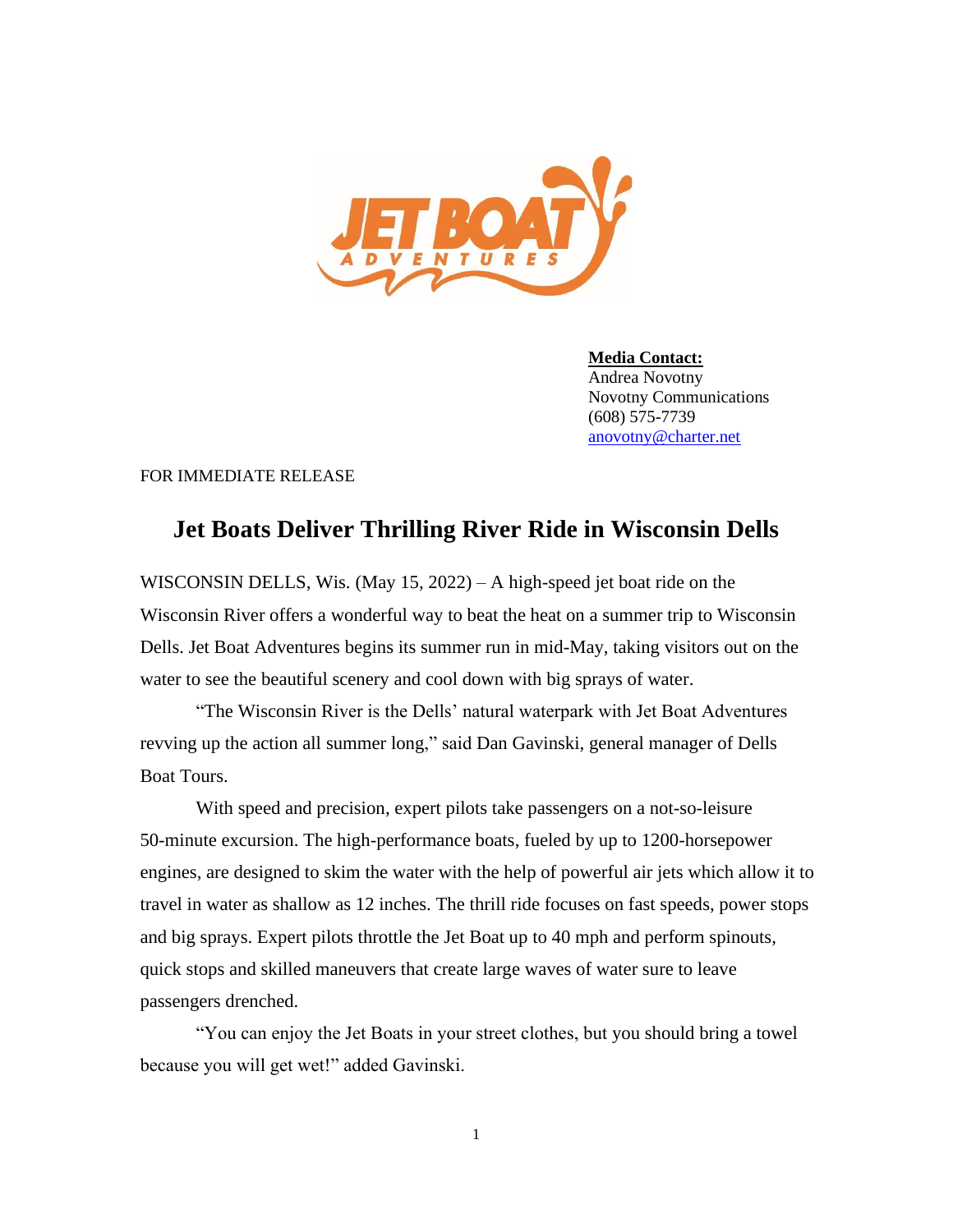

**Media Contact:** Andrea Novotny Novotny Communications (608) 575-7739 [anovotny@charter.net](mailto:anovotny@charter.net)

FOR IMMEDIATE RELEASE

## **Jet Boats Deliver Thrilling River Ride in Wisconsin Dells**

WISCONSIN DELLS, Wis. (May 15, 2022) – A high-speed jet boat ride on the Wisconsin River offers a wonderful way to beat the heat on a summer trip to Wisconsin Dells. Jet Boat Adventures begins its summer run in mid-May, taking visitors out on the water to see the beautiful scenery and cool down with big sprays of water.

"The Wisconsin River is the Dells' natural waterpark with Jet Boat Adventures revving up the action all summer long," said Dan Gavinski, general manager of Dells Boat Tours.

With speed and precision, expert pilots take passengers on a not-so-leisure 50-minute excursion. The high-performance boats, fueled by up to 1200-horsepower engines, are designed to skim the water with the help of powerful air jets which allow it to travel in water as shallow as 12 inches. The thrill ride focuses on fast speeds, power stops and big sprays. Expert pilots throttle the Jet Boat up to 40 mph and perform spinouts, quick stops and skilled maneuvers that create large waves of water sure to leave passengers drenched.

"You can enjoy the Jet Boats in your street clothes, but you should bring a towel because you will get wet!" added Gavinski.